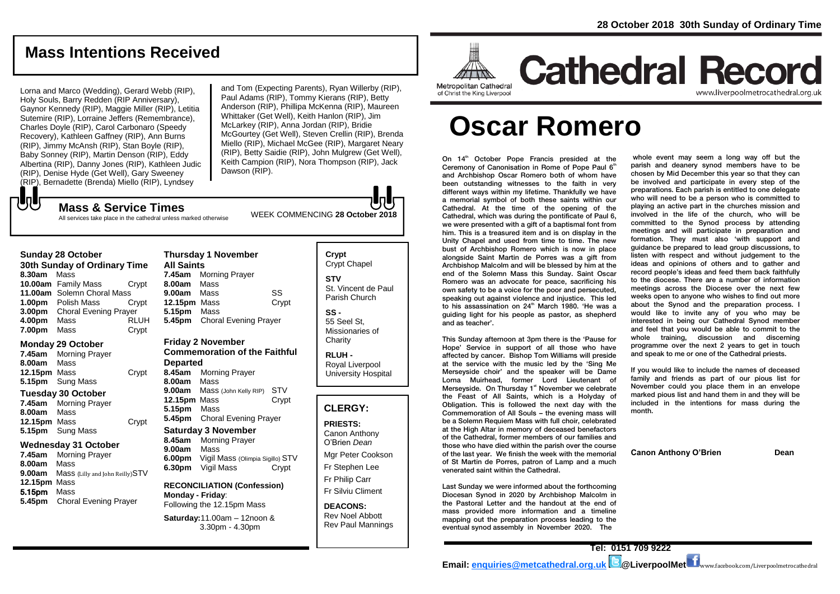# **Mass Intentions Received**

Lorna and Marco (Wedding), Gerard Webb (RIP), Holy Souls, Barry Redden (RIP Anniversary), Gaynor Kennedy (RIP), Maggie Miller (RIP), Letitia Sutemire (RIP), Lorraine Jeffers (Remembrance), Charles Doyle (RIP), Carol Carbonaro (Speedy Recovery), Kathleen Gaffney (RIP), Ann Burns (RIP), Jimmy McAnsh (RIP), Stan Boyle (RIP), Baby Sonney (RIP), Martin Denson (RIP), Eddy Albertina (RIP), Danny Jones (RIP), Kathleen Judic (RIP), Denise Hyde (Get Well), Gary Sweeney (RIP), Bernadette (Brenda) Miello (RIP), Lyndsey

and Tom (Expecting Parents), Ryan Willerby (RIP), Paul Adams (RIP), Tommy Kierans (RIP), Betty Anderson (RIP), Phillipa McKenna (RIP), Maureen Whittaker (Get Well), Keith Hanlon (RIP), Jim McLarkey (RIP), Anna Jordan (RIP), Bridie McGourtey (Get Well), Steven Crellin (RIP), Brenda Miello (RIP), Michael McGee (RIP), Margaret Neary (RIP), Betty Saidie (RIP), John Mulgrew (Get Well), Keith Campion (RIP), Nora Thompson (RIP), Jack Dawson (RIP).

WEEK COMMENCING **<sup>28</sup> October <sup>2018</sup> Mass & Service Times** All services take place in the cathedral unless marked otherwise

## **Sunday 28 October**

もし

**30th Sunday of Ordinary Time 8.30am** Mass **10.00am** Family Mass Crypt **11.00am** Solemn Choral Mass **1.00pm** Polish Mass Crypt **3.00pm** Choral Evening Prayer **4.00pm** Mass RLUH **7.00pm** Mass Crypt

## **Monday 29 October**

**7.45am** Morning Prayer **8.00am** Mass **12.15pm** Mass Crypt **5.15pm** Sung Mass

# **Tuesday 30 October**

**7.45am** Morning Prayer **8.00am** Mass **12.15pm** Mass Crypt **5.15pm** Sung Mass

#### **Wednesday 31 October**

**7.45am** Morning Prayer **8.00am** Mass **9.00am** Mass (Lilly and John Reilly)STV **12.15pm** Mass 5.15pm Mass **5.45pm** Choral Evening Prayer

# **Thursday 1 November All Saints 7.45am** Morning Prayer **8.00am** Mass **9.00am** Mass SS **12.15pm** Mass Crypt **5.15pm** Mass **5.45pm** Choral Evening Prayer

#### **Friday 2 November Commemoration of the Faithful**

**Departed 8.45am** Morning Prayer **8.00am** Mass **9.00am** Mass (John Kelly RIP) STV **12.15pm** Mass Crypt **5.15pm** Mass **5.45pm** Choral Evening Prayer

# **Saturday 3 November 8.45am** Morning Prayer **9.00am** Mass

**6.00pm** Vigil Mass (Olimpia Sigillo) STV **6.30pm** Vigil Mass Crypt

#### **RECONCILIATION (Confession) Monday - Friday**: Following the 12.15pm Mass

**Saturday:**11.00am – 12noon & 3.30pm - 4.30pm

# **Crypt**  Crypt Chapel **STV** St. Vincent de Paul Parish Church

**SS -** 55 Seel St, Missionaries of **Charity** 

**RLUH -** Royal Liverpool University Hospital

# **CLERGY:**

# **PRIESTS:** Canon Anthony O'Brien *Dean* Mgr Peter Cookson

Fr Stephen Lee Fr Philip Carr

Fr Silviu Climent

#### **DEACONS:** Rev Noel Abbott Rev Paul Mannings



# **Cathedral Record** www.liverpoolmetrocathedral.org.ul

of Christ the King Liverpool

# **Oscar Romero**

On 14<sup>th</sup> October Pope Francis presided at the Ceremony of Canonisation in Rome of Pope Paul 6<sup>th</sup> and Archbishop Oscar Romero both of whom have been outstanding witnesses to the faith in very different ways within my lifetime. Thankfully we have a memorial symbol of both these saints within our Cathedral. At the time of the opening of the Cathedral, which was during the pontificate of Paul 6, we were presented with a gift of a baptismal font from him. This is a treasured item and is on display in the Unity Chapel and used from time to time. The new bust of Archbishop Romero which is now in place alongside Saint Martin de Porres was a gift from Archbishop Malcolm and will be blessed by him at the end of the Solemn Mass this Sunday. Saint Oscar Romero was an advocate for peace, sacrificing his own safety to be a voice for the poor and persecuted, speaking out against violence and injustice. This led to his assassination on 24<sup>th</sup> March 1980. 'He was a guiding light for his people as pastor, as shepherd and as teacher'.

This Sunday afternoon at 3pm there is the 'Pause for Hope' Service in support of all those who have affected by cancer. Bishop Tom Williams will preside at the service with the music led by the 'Sing Me Merseyside choir' and the speaker will be Dame Lorna Muirhead, former Lord Lieutenant of Merseyside. On Thursday 1<sup>st</sup> November we celebrate the Feast of All Saints, which is a Holyday of Obligation. This is followed the next day with the Commemoration of All Souls – the evening mass will be a Solemn Requiem Mass with full choir, celebrated at the High Altar in memory of deceased benefactors of the Cathedral, former members of our families and those who have died within the parish over the course of the last year. We finish the week with the memorial of St Martin de Porres, patron of Lamp and a much venerated saint within the Cathedral.

Last Sunday we were informed about the forthcoming Diocesan Synod in 2020 by Archbishop Malcolm in the Pastoral Letter and the handout at the end of mass provided more information and a timeline mapping out the preparation process leading to the eventual synod assembly in November 2020. The

whole event may seem a long way off but the parish and deanery synod members have to be chosen by Mid December this year so that they can be involved and participate in every step of the preparations. Each parish is entitled to one delegate who will need to be a person who is committed to playing an active part in the churches mission and involved in the life of the church, who will be committed to the Synod process by attending meetings and will participate in preparation and formation. They must also 'with support and guidance be prepared to lead group discussions, to listen with respect and without judgement to the ideas and opinions of others and to gather and record people's ideas and feed them back faithfully to the diocese. There are a number of information meetings across the Diocese over the next few weeks open to anyone who wishes to find out more about the Synod and the preparation process. I would like to invite any of you who may be interested in being our Cathedral Synod member and feel that you would be able to commit to the whole training, discussion and discerning programme over the next 2 years to get in touch and speak to me or one of the Cathedral priests.

If you would like to include the names of deceased family and friends as part of our pious list for November could you place them in an envelope marked pious list and hand them in and they will be included in the intentions for mass during the month.

**Canon Anthony O'Brien Dean**